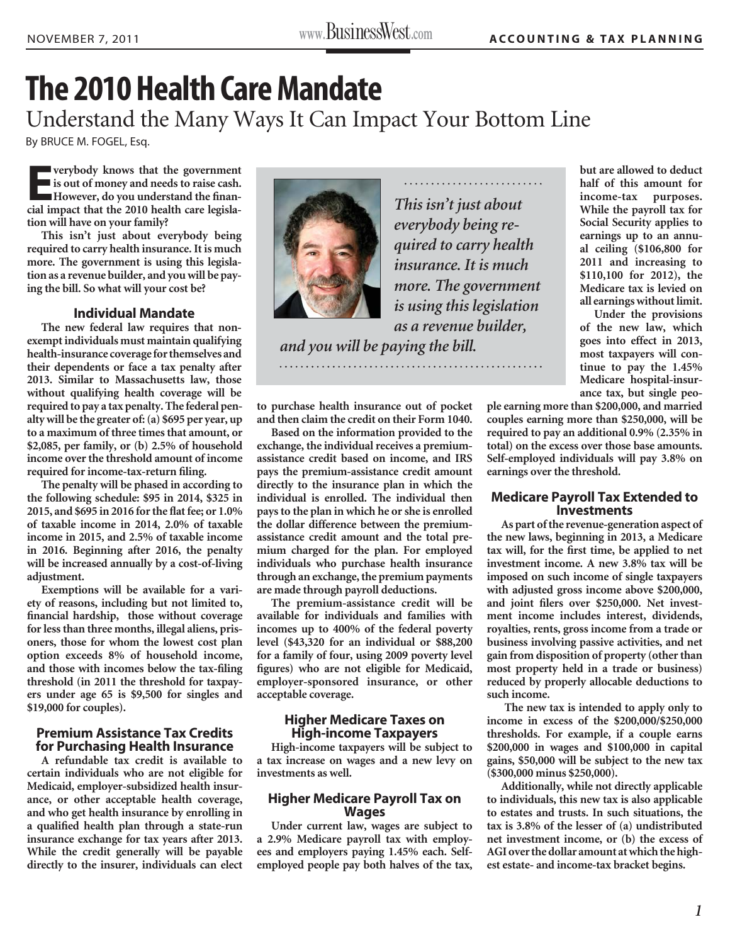# **The 2010 Health Care Mandate**

Understand the Many Ways It Can Impact Your Bottom Line

By BRUCE M. FOGEL, Esq.

**E** verybody knows that the government<br> **E***x* is out of money and needs to raise cash. **is out of money and needs to raise cash.**  However, do you understand the finan**cial impact that the 2010 health care legislation will have on your family?**

**This isn't just about everybody being required to carry health insurance. It is much more. The government is using this legislation as a revenue builder, and you will be paying the bill. So what will your cost be?**

# **Individual Mandate**

**The new federal law requires that nonexempt individuals must maintain qualifying health-insurance coverage for themselves and their dependents or face a tax penalty after 2013. Similar to Massachusetts law, those without qualifying health coverage will be required to pay a tax penalty. The federal penalty will be the greater of: (a) \$695 per year, up to a maximum of three times that amount, or \$2,085, per family, or (b) 2.5% of household income over the threshold amount of income**  required for income-tax-return filing.

**The penalty will be phased in according to the following schedule: \$95 in 2014, \$325 in**  2015, and \$695 in 2016 for the flat fee; or 1.0% **of taxable income in 2014, 2.0% of taxable income in 2015, and 2.5% of taxable income in 2016. Beginning after 2016, the penalty will be increased annually by a cost-of-living adjustment.** 

**Exemptions will be available for a variety of reasons, including but not limited to,**  financial hardship, those without coverage **for less than three months, illegal aliens, prisoners, those for whom the lowest cost plan option exceeds 8% of household income,**  and those with incomes below the tax-filing **threshold (in 2011 the threshold for taxpayers under age 65 is \$9,500 for singles and \$19,000 for couples).** 

#### **Premium Assistance Tax Credits for Purchasing Health Insurance**

**A refundable tax credit is available to certain individuals who are not eligible for Medicaid, employer-subsidized health insurance, or other acceptable health coverage, and who get health insurance by enrolling in**  a qualified health plan through a state-run **insurance exchange for tax years after 2013. While the credit generally will be payable directly to the insurer, individuals can elect** 



*This isn't just about everybody being required to carry health insurance. It is much more. The government is using this legislation as a revenue builder,* 

*and you will be paying the bill.*

**to purchase health insurance out of pocket and then claim the credit on their Form 1040.** 

**Based on the information provided to the exchange, the individual receives a premiumassistance credit based on income, and IRS pays the premium-assistance credit amount directly to the insurance plan in which the individual is enrolled. The individual then pays to the plan in which he or she is enrolled the dollar difference between the premiumassistance credit amount and the total premium charged for the plan. For employed individuals who purchase health insurance through an exchange, the premium payments are made through payroll deductions.** 

**The premium-assistance credit will be available for individuals and families with incomes up to 400% of the federal poverty level (\$43,320 for an individual or \$88,200 for a family of four, using 2009 poverty level**  figures) who are not eligible for Medicaid, **employer-sponsored insurance, or other acceptable coverage.** 

### **Higher Medicare Taxes on High-income Taxpayers**

**High-income taxpayers will be subject to a tax increase on wages and a new levy on investments as well.** 

#### **Higher Medicare Payroll Tax on Wages**

**Under current law, wages are subject to a 2.9% Medicare payroll tax with employees and employers paying 1.45% each. Selfemployed people pay both halves of the tax,** 

**but are allowed to deduct half of this amount for income-tax purposes. While the payroll tax for Social Security applies to earnings up to an annual ceiling (\$106,800 for 2011 and increasing to \$110,100 for 2012), the Medicare tax is levied on all earnings without limit.** 

**Under the provisions of the new law, which goes into effect in 2013, most taxpayers will continue to pay the 1.45% Medicare hospital-insurance tax, but single peo-**

**ple earning more than \$200,000, and married couples earning more than \$250,000, will be required to pay an additional 0.9% (2.35% in total) on the excess over those base amounts. Self-employed individuals will pay 3.8% on earnings over the threshold.** 

# **Medicare Payroll Tax Extended to Investments**

**As part of the revenue-generation aspect of the new laws, beginning in 2013, a Medicare**  tax will, for the first time, be applied to net **investment income. A new 3.8% tax will be imposed on such income of single taxpayers with adjusted gross income above \$200,000,**  and joint filers over \$250,000. Net invest**ment income includes interest, dividends, royalties, rents, gross income from a trade or business involving passive activities, and net gain from disposition of property (other than most property held in a trade or business) reduced by properly allocable deductions to such income.**

 **The new tax is intended to apply only to income in excess of the \$200,000/\$250,000 thresholds. For example, if a couple earns \$200,000 in wages and \$100,000 in capital gains, \$50,000 will be subject to the new tax (\$300,000 minus \$250,000).**

**Additionally, while not directly applicable to individuals, this new tax is also applicable to estates and trusts. In such situations, the tax is 3.8% of the lesser of (a) undistributed net investment income, or (b) the excess of AGI over the dollar amount at which the highest estate- and income-tax bracket begins.**